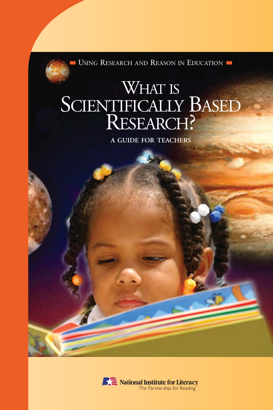USING RESEARCH AND REASON IN EDUCATION

# WHAT IS SCIENTIFICALLY BASED RESEARCH?

**A GUIDE FOR TEACHERS**

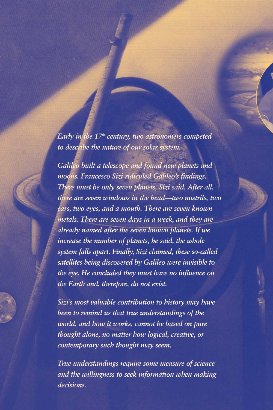*Early in the 17th century, two astronomers competed to describe the nature of our solar system.*

*Galileo built a telescope and found new planets and moons. Francesco Sizi ridiculed Galileo's findings. There must be only seven planets, Sizi said. After all, there are seven windows in the head—two nostrils, two ears, two eyes, and a mouth. There are seven known metals. There are seven days in a week, and they are already named after the seven known planets. If we increase the number of planets, he said, the whole system falls apart. Finally, Sizi claimed, these so-called satellites being discovered by Galileo were invisible to the eye. He concluded they must have no influence on the Earth and, therefore, do not exist.*

*Sizi's most valuable contribution to history may have been to remind us that true understandings of the world, and how it works, cannot be based on pure thought alone, no matter how logical, creative, or contemporary such thought may seem.*

*True understandings require some measure of science and the willingness to seek information when making decisions.*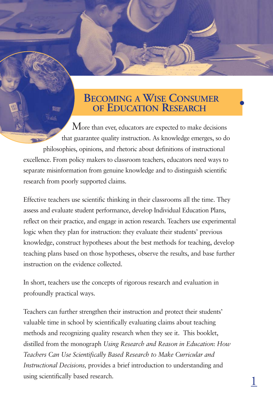# **BECOMING A WISE CONSUMER OF EDUCATION RESEARCH**

●

1

More than ever, educators are expected to make decisions that guarantee quality instruction. As knowledge emerges, so do philosophies, opinions, and rhetoric about definitions of instructional excellence. From policy makers to classroom teachers, educators need ways to separate misinformation from genuine knowledge and to distinguish scientific research from poorly supported claims.

**SILON** 

Effective teachers use scientific thinking in their classrooms all the time. They assess and evaluate student performance, develop Individual Education Plans, reflect on their practice, and engage in action research. Teachers use experimental logic when they plan for instruction: they evaluate their students' previous knowledge, construct hypotheses about the best methods for teaching, develop teaching plans based on those hypotheses, observe the results, and base further instruction on the evidence collected.

In short, teachers use the concepts of rigorous research and evaluation in profoundly practical ways.

Teachers can further strengthen their instruction and protect their students' valuable time in school by scientifically evaluating claims about teaching methods and recognizing quality research when they see it. This booklet, distilled from the monograph *Using Research and Reason in Education: How Teachers Can Use Scientifically Based Research to Make Curricular and Instructional Decisions,* provides a brief introduction to understanding and using scientifically based research.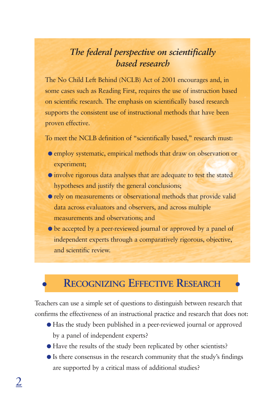### *The federal perspective on scientifically based research*

The No Child Left Behind (NCLB) Act of 2001 encourages and, in some cases such as Reading First, requires the use of instruction based on scientific research. The emphasis on scientifically based research supports the consistent use of instructional methods that have been proven effective.

To meet the NCLB definition of "scientifically based," research must:

- employ systematic, empirical methods that draw on observation or experiment;
- involve rigorous data analyses that are adequate to test the stated hypotheses and justify the general conclusions;
- rely on measurements or observational methods that provide valid data across evaluators and observers, and across multiple measurements and observations; and
- $\bullet$  be accepted by a peer-reviewed journal or approved by a panel of independent experts through a comparatively rigorous, objective, and scientific review.

# ● RECOGNIZING EFFECTIVE RESEARCH ●

Teachers can use a simple set of questions to distinguish between research that confirms the effectiveness of an instructional practice and research that does not:

- Has the study been published in a peer-reviewed journal or approved by a panel of independent experts?
- Have the results of the study been replicated by other scientists?
- Is there consensus in the research community that the study's findings are supported by a critical mass of additional studies?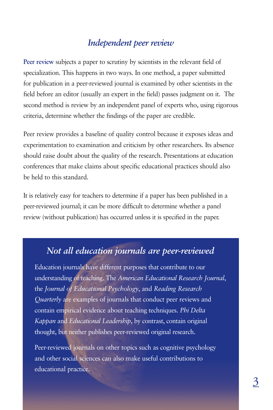#### *Independent peer review*

**Peer review** subjects a paper to scrutiny by scientists in the relevant field of specialization. This happens in two ways. In one method, a paper submitted for publication in a peer-reviewed journal is examined by other scientists in the field before an editor (usually an expert in the field) passes judgment on it. The second method is review by an independent panel of experts who, using rigorous criteria, determine whether the findings of the paper are credible.

Peer review provides a baseline of quality control because it exposes ideas and experimentation to examination and criticism by other researchers. Its absence should raise doubt about the quality of the research. Presentations at education conferences that make claims about specific educational practices should also be held to this standard.

It is relatively easy for teachers to determine if a paper has been published in a peer-reviewed journal; it can be more difficult to determine whether a panel review (without publication) has occurred unless it is specified in the paper.

#### *Not all education journals are peer-reviewed*

Education journals have different purposes that contribute to our understanding of teaching. The *American Educational Research Journal*, the *Journal of Educational Psychology*, and *Reading Research Quarterly* are examples of journals that conduct peer reviews and contain empirical evidence about teaching techniques. *Phi Delta Kappan* and *Educational Leadership*, by contrast, contain original thought, but neither publishes peer-reviewed original research.

Peer-reviewed journals on other topics such as cognitive psychology and other social sciences can also make useful contributions to educational practice.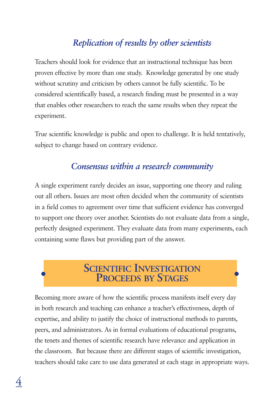# *Replication of results by other scientists*

Teachers should look for evidence that an instructional technique has been proven effective by more than one study. Knowledge generated by one study without scrutiny and criticism by others cannot be fully scientific. To be considered scientifically based, a research finding must be presented in a way that enables other researchers to reach the same results when they repeat the experiment.

True scientific knowledge is public and open to challenge. It is held tentatively, subject to change based on contrary evidence.

#### *Consensus within a research community*

A single experiment rarely decides an issue, supporting one theory and ruling out all others. Issues are most often decided when the community of scientists in a field comes to agreement over time that sufficient evidence has converged to support one theory over another. Scientists do not evaluate data from a single, perfectly designed experiment. They evaluate data from many experiments, each containing some flaws but providing part of the answer.

# **SCIENTIFIC INVESTIGATION PROCEEDS BY STAGES**

Becoming more aware of how the scientific process manifests itself every day in both research and teaching can enhance a teacher's effectiveness, depth of expertise, and ability to justify the choice of instructional methods to parents, peers, and administrators. As in formal evaluations of educational programs, the tenets and themes of scientific research have relevance and application in the classroom. But because there are different stages of scientific investigation, teachers should take care to use data generated at each stage in appropriate ways.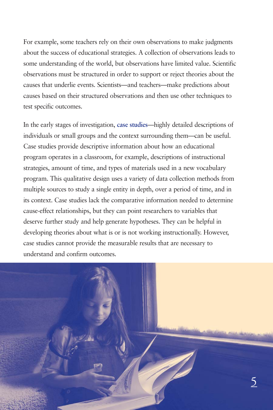For example, some teachers rely on their own observations to make judgments about the success of educational strategies. A collection of observations leads to some understanding of the world, but observations have limited value. Scientific observations must be structured in order to support or reject theories about the causes that underlie events. Scientists—and teachers—make predictions about causes based on their structured observations and then use other techniques to test specific outcomes.

In the early stages of investigation, **case studies**—highly detailed descriptions of individuals or small groups and the context surrounding them—can be useful. Case studies provide descriptive information about how an educational program operates in a classroom, for example, descriptions of instructional strategies, amount of time, and types of materials used in a new vocabulary program. This qualitative design uses a variety of data collection methods from multiple sources to study a single entity in depth, over a period of time, and in its context. Case studies lack the comparative information needed to determine cause-effect relationships, but they can point researchers to variables that deserve further study and help generate hypotheses. They can be helpful in developing theories about what is or is not working instructionally. However, case studies cannot provide the measurable results that are necessary to understand and confirm outcomes.

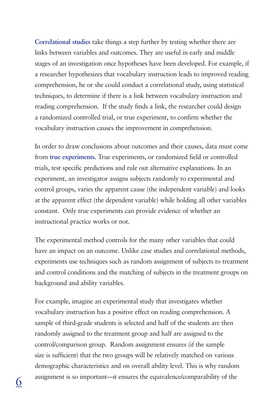**Correlational studies** take things a step further by testing whether there are links between variables and outcomes. They are useful in early and middle stages of an investigation once hypotheses have been developed. For example, if a researcher hypothesizes that vocabulary instruction leads to improved reading comprehension, he or she could conduct a correlational study, using statistical techniques, to determine if there is a link between vocabulary instruction and reading comprehension. If the study finds a link, the researcher could design a randomized controlled trial, or true experiment, to confirm whether the vocabulary instruction causes the improvement in comprehension.

In order to draw conclusions about outcomes and their causes, data must come from **true experiments.** True experiments, or randomized field or controlled trials, test specific predictions and rule out alternative explanations. In an experiment, an investigator assigns subjects randomly to experimental and control groups, varies the apparent cause (the independent variable) and looks at the apparent effect (the dependent variable) while holding all other variables constant. Only true experiments can provide evidence of whether an instructional practice works or not.

The experimental method controls for the many other variables that could have an impact on an outcome. Unlike case studies and correlational methods, experiments use techniques such as random assignment of subjects to treatment and control conditions and the matching of subjects in the treatment groups on background and ability variables.

For example, imagine an experimental study that investigates whether vocabulary instruction has a positive effect on reading comprehension. A sample of third-grade students is selected and half of the students are then randomly assigned to the treatment group and half are assigned to the control/comparison group. Random assignment ensures (if the sample size is sufficient) that the two groups will be relatively matched on various demographic characteristics and on overall ability level. This is why random assignment is so important—it ensures the equivalence/comparability of the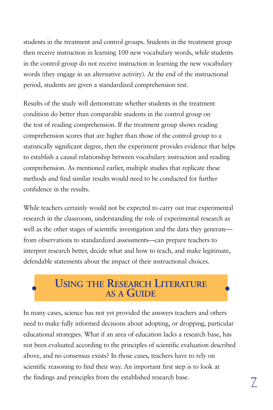students in the treatment and control groups. Students in the treatment group then receive instruction in learning 100 new vocabulary words, while students in the control group do not receive instruction in learning the new vocabulary words (they engage in an alternative activity). At the end of the instructional period, students are given a standardized comprehension test.

Results of the study will demonstrate whether students in the treatment condition do better than comparable students in the control group on the test of reading comprehension. If the treatment group shows reading comprehension scores that are higher than those of the control group to a statistically significant degree, then the experiment provides evidence that helps to establish a causal relationship between vocabulary instruction and reading comprehension. As mentioned earlier, multiple studies that replicate these methods and find similar results would need to be conducted for further confidence in the results.

While teachers certainly would not be expected to carry out true experimental research in the classroom, understanding the role of experimental research as well as the other stages of scientific investigation and the data they generate from observations to standardized assessments—can prepare teachers to interpret research better, decide what and how to teach, and make legitimate, defendable statements about the impact of their instructional choices.

# ● ● **AS A GUIDE USING THE RESEARCH LITERATURE**

In many cases, science has not yet provided the answers teachers and others need to make fully informed decisions about adopting, or dropping, particular educational strategies. What if an area of education lacks a research base, has not been evaluated according to the principles of scientific evaluation described above, and no consensus exists? In those cases, teachers have to rely on scientific reasoning to find their way. An important first step is to look at the findings and principles from the established research base.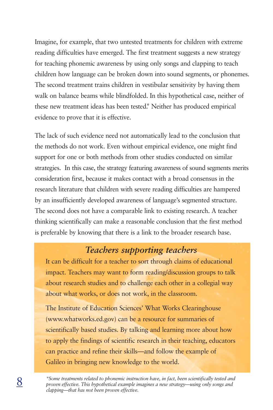Imagine, for example, that two untested treatments for children with extreme reading difficulties have emerged. The first treatment suggests a new strategy for teaching phonemic awareness by using only songs and clapping to teach children how language can be broken down into sound segments, or phonemes. The second treatment trains children in vestibular sensitivity by having them walk on balance beams while blindfolded. In this hypothetical case, neither of these new treatment ideas has been tested.*\** Neither has produced empirical evidence to prove that it is effective.

The lack of such evidence need not automatically lead to the conclusion that the methods do not work. Even without empirical evidence, one might find support for one or both methods from other studies conducted on similar strategies. In this case, the strategy featuring awareness of sound segments merits consideration first, because it makes contact with a broad consensus in the research literature that children with severe reading difficulties are hampered by an insufficiently developed awareness of language's segmented structure. The second does not have a comparable link to existing research. A teacher thinking scientifically can make a reasonable conclusion that the first method is preferable by knowing that there is a link to the broader research base.

#### *Teachers supporting teachers*

It can be difficult for a teacher to sort through claims of educational impact. Teachers may want to form reading/discussion groups to talk about research studies and to challenge each other in a collegial way about what works, or does not work, in the classroom.

The Institute of Education Sciences' What Works Clearinghouse (www.whatworks.ed.gov) can be a resource for summaries of scientifically based studies. By talking and learning more about how to apply the findings of scientific research in their teaching, educators can practice and refine their skills—and follow the example of Galileo in bringing new knowledge to the world.

*\*Some treatments related to phonemic instruction have, in fact, been scientifically tested and proven effective. This hypothetical example imagines a new strategy—using only songs and clapping—that has not been proven effective.*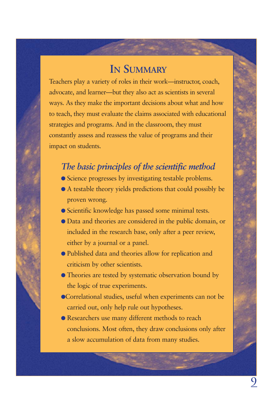# **IN SUMMARY**

Teachers play a variety of roles in their work—instructor, coach, advocate, and learner—but they also act as scientists in several ways. As they make the important decisions about what and how to teach, they must evaluate the claims associated with educational strategies and programs. And in the classroom, they must constantly assess and reassess the value of programs and their impact on students.

#### *The basic principles of the scientific method*

- Science progresses by investigating testable problems.
- A testable theory yields predictions that could possibly be proven wrong.
- Scientific knowledge has passed some minimal tests.
- Data and theories are considered in the public domain, or included in the research base, only after a peer review, either by a journal or a panel.
- Published data and theories allow for replication and criticism by other scientists.
- Theories are tested by systematic observation bound by the logic of true experiments.
- ●Correlational studies, useful when experiments can not be carried out, only help rule out hypotheses.
- Researchers use many different methods to reach conclusions. Most often, they draw conclusions only after a slow accumulation of data from many studies.